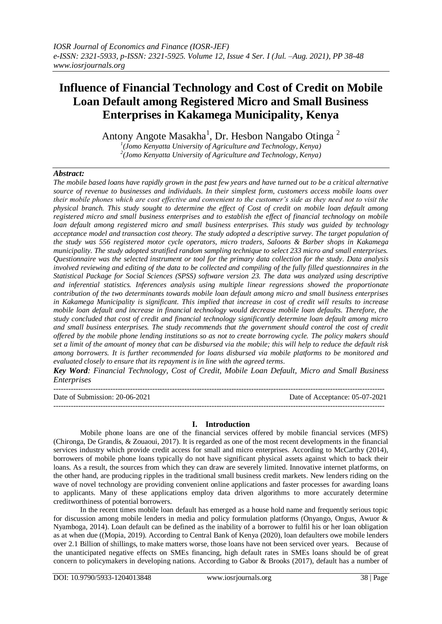# **Influence of Financial Technology and Cost of Credit on Mobile Loan Default among Registered Micro and Small Business Enterprises in Kakamega Municipality, Kenya**

Antony Angote Masakha<sup>1</sup>, Dr. Hesbon Nangabo Otinga<sup>2</sup>

*1 (Jomo Kenyatta University of Agriculture and Technology, Kenya) 2 (Jomo Kenyatta University of Agriculture and Technology, Kenya)* 

# *Abstract:*

*The mobile based loans have rapidly grown in the past few years and have turned out to be a critical alternative source of revenue to businesses and individuals. In their simplest form, customers access mobile loans over their mobile phones which are cost effective and convenient to the customer's side as they need not to visit the physical branch. This study sought to determine the effect of Cost of credit on mobile loan default among registered micro and small business enterprises and to establish the effect of financial technology on mobile loan default among registered micro and small business enterprises. This study was guided by technology acceptance model and transaction cost theory. The study adopted a descriptive survey. The target population of the study was 556 registered motor cycle operators, micro traders, Saloons & Barber shops in Kakamega municipality. The study adopted stratified random sampling technique to select 233 micro and small enterprises. Questionnaire was the selected instrument or tool for the primary data collection for the study. Data analysis involved reviewing and editing of the data to be collected and compiling of the fully filled questionnaires in the Statistical Package for Social Sciences (SPSS) software version 23. The data was analyzed using descriptive and inferential statistics. Inferences analysis using multiple linear regressions showed the proportionate contribution of the two determinants towards mobile loan default among micro and small business enterprises in Kakamega Municipality is significant. This implied that increase in cost of credit will results to increase mobile loan default and increase in financial technology would decrease mobile loan defaults. Therefore, the study concluded that cost of credit and financial technology significantly determine loan default among micro and small business enterprises. The study recommends that the government should control the cost of credit offered by the mobile phone lending institutions so as not to create borrowing cycle. The policy makers should set a limit of the amount of money that can be disbursed via the mobile; this will help to reduce the default risk among borrowers. It is further recommended for loans disbursed via mobile platforms to be monitored and evaluated closely to ensure that its repayment is in line with the agreed terms.*

*Key Word: Financial Technology, Cost of Credit, Mobile Loan Default, Micro and Small Business Enterprises*

-------------------------------------------------------------------------------------------------------------------------------------- Date of Submission: 20-06-2021 Date of Acceptance: 05-07-2021 --------------------------------------------------------------------------------------------------------------------------------------

### **I. Introduction**

Mobile phone loans are one of the financial services offered by mobile financial services (MFS) (Chironga, De Grandis, & Zouaoui, 2017). It is regarded as one of the most recent developments in the financial services industry which provide credit access for small and micro enterprises. According to McCarthy (2014), borrowers of mobile phone loans typically do not have significant physical assets against which to back their loans. As a result, the sources from which they can draw are severely limited. Innovative internet platforms, on the other hand, are producing ripples in the traditional small business credit markets. New lenders riding on the wave of novel technology are providing convenient online applications and faster processes for awarding loans to applicants. Many of these applications employ data driven algorithms to more accurately determine creditworthiness of potential borrowers.

In the recent times mobile loan default has emerged as a house hold name and frequently serious topic for discussion among mobile lenders in media and policy formulation platforms (Onyango, Ongus, Awuor & Nyamboga, 2014). Loan default can be defined as the inability of a borrower to fulfil his or her loan obligation as at when due ((Mopia, 2019). According to Central Bank of Kenya (2020), loan defaulters owe mobile lenders over 2.1 Billion of shillings, to make matters worse, those loans have not been serviced over years. Because of the unanticipated negative effects on SMEs financing, high default rates in SMEs loans should be of great concern to policymakers in developing nations. According to Gabor & Brooks (2017), default has a number of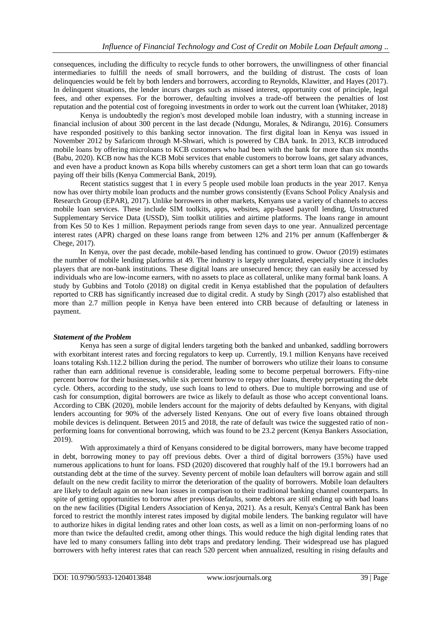consequences, including the difficulty to recycle funds to other borrowers, the unwillingness of other financial intermediaries to fulfill the needs of small borrowers, and the building of distrust. The costs of loan delinquencies would be felt by both lenders and borrowers, according to Reynolds, Klawitter, and Hayes (2017). In delinquent situations, the lender incurs charges such as missed interest, opportunity cost of principle, legal fees, and other expenses. For the borrower, defaulting involves a trade-off between the penalties of lost reputation and the potential cost of foregoing investments in order to work out the current loan (Whitaker, 2018)

Kenya is undoubtedly the region's most developed mobile loan industry, with a stunning increase in financial inclusion of about 300 percent in the last decade (Ndungu, Morales, & Ndirangu, 2016). Consumers have responded positively to this banking sector innovation. The first digital loan in Kenya was issued in November 2012 by Safaricom through M-Shwari, which is powered by CBA bank. In 2013, KCB introduced mobile loans by offering microloans to KCB customers who had been with the bank for more than six months (Babu, 2020). KCB now has the KCB Mobi services that enable customers to borrow loans, get salary advances, and even have a product known as Kopa bills whereby customers can get a short term loan that can go towards paying off their bills (Kenya Commercial Bank, 2019).

Recent statistics suggest that 1 in every 5 people used mobile loan products in the year 2017. Kenya now has over thirty mobile loan products and the number grows consistently (Evans School Policy Analysis and Research Group (EPAR), 2017). Unlike borrowers in other markets, Kenyans use a variety of channels to access mobile loan services. These include SIM toolkits, apps, websites, app-based payroll lending, Unstructured Supplementary Service Data (USSD), Sim toolkit utilities and airtime platforms. The loans range in amount from Kes 50 to Kes 1 million. Repayment periods range from seven days to one year. Annualized percentage interest rates (APR) charged on these loans range from between 12% and 21% per annum (Kaffenberger & Chege, 2017).

In Kenya, over the past decade, mobile-based lending has continued to grow. Owuor (2019) estimates the number of mobile lending platforms at 49. The industry is largely unregulated, especially since it includes players that are non-bank institutions. These digital loans are unsecured hence; they can easily be accessed by individuals who are low-income earners, with no assets to place as collateral, unlike many formal bank loans. A study by Gubbins and Totolo (2018) on digital credit in Kenya established that the population of defaulters reported to CRB has significantly increased due to digital credit. A study by Singh (2017) also established that more than 2.7 million people in Kenya have been entered into CRB because of defaulting or lateness in payment.

### *Statement of the Problem*

Kenya has seen a surge of digital lenders targeting both the banked and unbanked, saddling borrowers with exorbitant interest rates and forcing regulators to keep up. Currently, 19.1 million Kenyans have received loans totaling Ksh.112.2 billion during the period. The number of borrowers who utilize their loans to consume rather than earn additional revenue is considerable, leading some to become perpetual borrowers. Fifty-nine percent borrow for their businesses, while six percent borrow to repay other loans, thereby perpetuating the debt cycle. Others, according to the study, use such loans to lend to others. Due to multiple borrowing and use of cash for consumption, digital borrowers are twice as likely to default as those who accept conventional loans. According to CBK (2020), mobile lenders account for the majority of debts defaulted by Kenyans, with digital lenders accounting for 90% of the adversely listed Kenyans. One out of every five loans obtained through mobile devices is delinquent. Between 2015 and 2018, the rate of default was twice the suggested ratio of nonperforming loans for conventional borrowing, which was found to be 23.2 percent (Kenya Bankers Association, 2019).

With approximately a third of Kenyans considered to be digital borrowers, many have become trapped in debt, borrowing money to pay off previous debts. Over a third of digital borrowers (35%) have used numerous applications to hunt for loans. FSD (2020) discovered that roughly half of the 19.1 borrowers had an outstanding debt at the time of the survey. Seventy percent of mobile loan defaulters will borrow again and still default on the new credit facility to mirror the deterioration of the quality of borrowers. Mobile loan defaulters are likely to default again on new loan issues in comparison to their traditional banking channel counterparts. In spite of getting opportunities to borrow after previous defaults, some debtors are still ending up with bad loans on the new facilities (Digital Lenders Association of Kenya, 2021). As a result, Kenya's Central Bank has been forced to restrict the monthly interest rates imposed by digital mobile lenders. The banking regulator will have to authorize hikes in digital lending rates and other loan costs, as well as a limit on non-performing loans of no more than twice the defaulted credit, among other things. This would reduce the high digital lending rates that have led to many consumers falling into debt traps and predatory lending. Their widespread use has plagued borrowers with hefty interest rates that can reach 520 percent when annualized, resulting in rising defaults and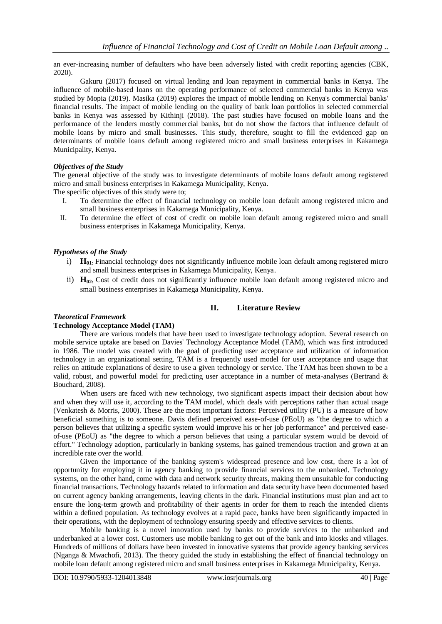an ever-increasing number of defaulters who have been adversely listed with credit reporting agencies (CBK, 2020).

Gakuru (2017) focused on virtual lending and loan repayment in commercial banks in Kenya. The influence of mobile-based loans on the operating performance of selected commercial banks in Kenya was studied by Mopia (2019). Masika (2019) explores the impact of mobile lending on Kenya's commercial banks' financial results. The impact of mobile lending on the quality of bank loan portfolios in selected commercial banks in Kenya was assessed by Kithinji (2018). The past studies have focused on mobile loans and the performance of the lenders mostly commercial banks, but do not show the factors that influence default of mobile loans by micro and small businesses. This study, therefore, sought to fill the evidenced gap on determinants of mobile loans default among registered micro and small business enterprises in Kakamega Municipality, Kenya.

### *Objectives of the Study*

The general objective of the study was to investigate determinants of mobile loans default among registered micro and small business enterprises in Kakamega Municipality, Kenya.

The specific objectives of this study were to;

- I. To determine the effect of financial technology on mobile loan default among registered micro and small business enterprises in Kakamega Municipality, Kenya.
- II. To determine the effect of cost of credit on mobile loan default among registered micro and small business enterprises in Kakamega Municipality, Kenya.

### *Hypotheses of the Study*

- i) **H01:** Financial technology does not significantly influence mobile loan default among registered micro and small business enterprises in Kakamega Municipality, Kenya.
- ii) **H02:** Cost of credit does not significantly influence mobile loan default among registered micro and small business enterprises in Kakamega Municipality, Kenya.

### **II. Literature Review**

### *Theoretical Framework*

# **Technology Acceptance Model (TAM)**

There are various models that have been used to investigate technology adoption. Several research on mobile service uptake are based on Davies' Technology Acceptance Model (TAM), which was first introduced in 1986. The model was created with the goal of predicting user acceptance and utilization of information technology in an organizational setting. TAM is a frequently used model for user acceptance and usage that relies on attitude explanations of desire to use a given technology or service. The TAM has been shown to be a valid, robust, and powerful model for predicting user acceptance in a number of meta-analyses (Bertrand & Bouchard, 2008).

When users are faced with new technology, two significant aspects impact their decision about how and when they will use it, according to the TAM model, which deals with perceptions rather than actual usage (Venkatesh & Morris, 2000). These are the most important factors: Perceived utility (PU) is a measure of how beneficial something is to someone. Davis defined perceived ease-of-use (PEoU) as "the degree to which a person believes that utilizing a specific system would improve his or her job performance" and perceived easeof-use (PEoU) as "the degree to which a person believes that using a particular system would be devoid of effort." Technology adoption, particularly in banking systems, has gained tremendous traction and grown at an incredible rate over the world.

Given the importance of the banking system's widespread presence and low cost, there is a lot of opportunity for employing it in agency banking to provide financial services to the unbanked. Technology systems, on the other hand, come with data and network security threats, making them unsuitable for conducting financial transactions. Technology hazards related to information and data security have been documented based on current agency banking arrangements, leaving clients in the dark. Financial institutions must plan and act to ensure the long-term growth and profitability of their agents in order for them to reach the intended clients within a defined population. As technology evolves at a rapid pace, banks have been significantly impacted in their operations, with the deployment of technology ensuring speedy and effective services to clients.

Mobile banking is a novel innovation used by banks to provide services to the unbanked and underbanked at a lower cost. Customers use mobile banking to get out of the bank and into kiosks and villages. Hundreds of millions of dollars have been invested in innovative systems that provide agency banking services (Nganga & Mwachofi, 2013). The theory guided the study in establishing the effect of financial technology on mobile loan default among registered micro and small business enterprises in Kakamega Municipality, Kenya.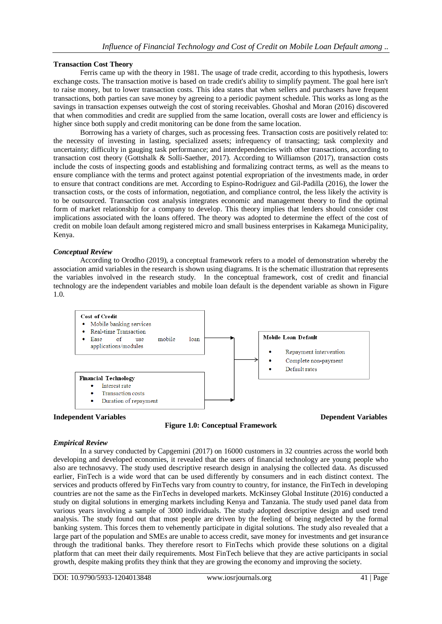### **Transaction Cost Theory**

Ferris came up with the theory in 1981. The usage of trade credit, according to this hypothesis, lowers exchange costs. The transaction motive is based on trade credit's ability to simplify payment. The goal here isn't to raise money, but to lower transaction costs. This idea states that when sellers and purchasers have frequent transactions, both parties can save money by agreeing to a periodic payment schedule. This works as long as the savings in transaction expenses outweigh the cost of storing receivables. Ghoshal and Moran (2016) discovered that when commodities and credit are supplied from the same location, overall costs are lower and efficiency is higher since both supply and credit monitoring can be done from the same location.

Borrowing has a variety of charges, such as processing fees. Transaction costs are positively related to: the necessity of investing in lasting, specialized assets; infrequency of transacting; task complexity and uncertainty; difficulty in gauging task performance; and interdependencies with other transactions, according to transaction cost theory (Gottshalk & Solli-Saether, 2017). According to Williamson (2017), transaction costs include the costs of inspecting goods and establishing and formalizing contract terms, as well as the means to ensure compliance with the terms and protect against potential expropriation of the investments made, in order to ensure that contract conditions are met. According to Espino-Rodriguez and Gil-Padilla (2016), the lower the transaction costs, or the costs of information, negotiation, and compliance control, the less likely the activity is to be outsourced. Transaction cost analysis integrates economic and management theory to find the optimal form of market relationship for a company to develop. This theory implies that lenders should consider cost implications associated with the loans offered. The theory was adopted to determine the effect of the cost of credit on mobile loan default among registered micro and small business enterprises in Kakamega Municipality, Kenya.

### *Conceptual Review*

According to Orodho (2019), a conceptual framework refers to a model of demonstration whereby the association amid variables in the research is shown using diagrams. It is the schematic illustration that represents the variables involved in the research study. In the conceptual framework, cost of credit and financial technology are the independent variables and mobile loan default is the dependent variable as shown in Figure 1.0.



**Figure 1.0: Conceptual Framework**

**Independent Variables Dependent Variables Dependent Variables** 

### *Empirical Review*

In a survey conducted by Capgemini (2017) on 16000 customers in 32 countries across the world both developing and developed economies, it revealed that the users of financial technology are young people who also are technosavvy. The study used descriptive research design in analysing the collected data. As discussed earlier, FinTech is a wide word that can be used differently by consumers and in each distinct context. The services and products offered by FinTechs vary from country to country, for instance, the FinTech in developing countries are not the same as the FinTechs in developed markets. McKinsey Global Institute (2016) conducted a study on digital solutions in emerging markets including Kenya and Tanzania. The study used panel data from various years involving a sample of 3000 individuals. The study adopted descriptive design and used trend analysis. The study found out that most people are driven by the feeling of being neglected by the formal banking system. This forces them to vehemently participate in digital solutions. The study also revealed that a large part of the population and SMEs are unable to access credit, save money for investments and get insurance through the traditional banks. They therefore resort to FinTechs which provide these solutions on a digital platform that can meet their daily requirements. Most FinTech believe that they are active participants in social growth, despite making profits they think that they are growing the economy and improving the society.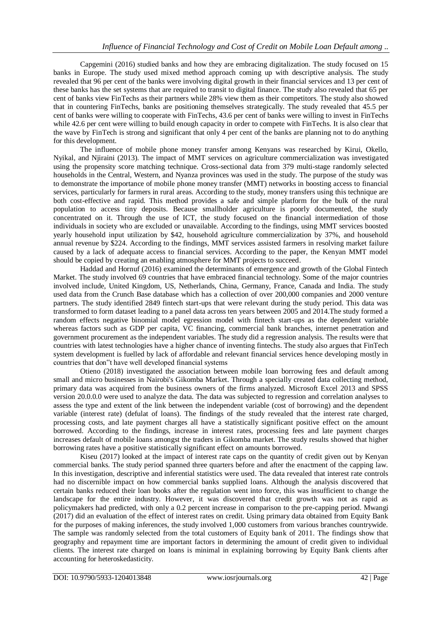Capgemini (2016) studied banks and how they are embracing digitalization. The study focused on 15 banks in Europe. The study used mixed method approach coming up with descriptive analysis. The study revealed that 96 per cent of the banks were involving digital growth in their financial services and 13 per cent of these banks has the set systems that are required to transit to digital finance. The study also revealed that 65 per cent of banks view FinTechs as their partners while 28% view them as their competitors. The study also showed that in countering FinTechs, banks are positioning themselves strategically. The study revealed that 45.5 per cent of banks were willing to cooperate with FinTechs, 43.6 per cent of banks were willing to invest in FinTechs while 42.6 per cent were willing to build enough capacity in order to compete with FinTechs. It is also clear that the wave by FinTech is strong and significant that only 4 per cent of the banks are planning not to do anything for this development.

The influence of mobile phone money transfer among Kenyans was researched by Kirui, Okello, Nyikal, and Njiraini (2013). The impact of MMT services on agriculture commercialization was investigated using the propensity score matching technique. Cross-sectional data from 379 multi-stage randomly selected households in the Central, Western, and Nyanza provinces was used in the study. The purpose of the study was to demonstrate the importance of mobile phone money transfer (MMT) networks in boosting access to financial services, particularly for farmers in rural areas. According to the study, money transfers using this technique are both cost-effective and rapid. This method provides a safe and simple platform for the bulk of the rural population to access tiny deposits. Because smallholder agriculture is poorly documented, the study concentrated on it. Through the use of ICT, the study focused on the financial intermediation of those individuals in society who are excluded or unavailable. According to the findings, using MMT services boosted yearly household input utilization by \$42, household agriculture commercialization by 37%, and household annual revenue by \$224. According to the findings, MMT services assisted farmers in resolving market failure caused by a lack of adequate access to financial services. According to the paper, the Kenyan MMT model should be copied by creating an enabling atmosphere for MMT projects to succeed.

Haddad and Hornuf (2016) examined the determinants of emergence and growth of the Global Fintech Market. The study involved 69 countries that have embraced financial technology. Some of the major countries involved include, United Kingdom, US, Netherlands, China, Germany, France, Canada and India. The study used data from the Crunch Base database which has a collection of over 200,000 companies and 2000 venture partners. The study identified 2849 fintech start-ups that were relevant during the study period. This data was transformed to form dataset leading to a panel data across ten years between 2005 and 2014.The study formed a random effects negative binomial model egression model with fintech start-ups as the dependent variable whereas factors such as GDP per capita, VC financing, commercial bank branches, internet penetration and government procurement as the independent variables. The study did a regression analysis. The results were that countries with latest technologies have a higher chance of inventing fintechs. The study also argues that FinTech system development is fuelled by lack of affordable and relevant financial services hence developing mostly in countries that don"t have well developed financial systems

Otieno (2018) investigated the association between mobile loan borrowing fees and default among small and micro businesses in Nairobi's Gikomba Market. Through a specially created data collecting method, primary data was acquired from the business owners of the firms analyzed. Microsoft Excel 2013 and SPSS version 20.0.0.0 were used to analyze the data. The data was subjected to regression and correlation analyses to assess the type and extent of the link between the independent variable (cost of borrowing) and the dependent variable (interest rate) (defulat of loans). The findings of the study revealed that the interest rate charged, processing costs, and late payment charges all have a statistically significant positive effect on the amount borrowed. According to the findings, increase in interest rates, processing fees and late payment charges increases default of mobile loans amongst the traders in Gikomba market. The study results showed that higher borrowing rates have a positive statistically significant effect on amounts borrowed.

Kiseu (2017) looked at the impact of interest rate caps on the quantity of credit given out by Kenyan commercial banks. The study period spanned three quarters before and after the enactment of the capping law. In this investigation, descriptive and inferential statistics were used. The data revealed that interest rate controls had no discernible impact on how commercial banks supplied loans. Although the analysis discovered that certain banks reduced their loan books after the regulation went into force, this was insufficient to change the landscape for the entire industry. However, it was discovered that credit growth was not as rapid as policymakers had predicted, with only a 0.2 percent increase in comparison to the pre-capping period. Mwangi (2017) did an evaluation of the effect of interest rates on credit. Using primary data obtained from Equity Bank for the purposes of making inferences, the study involved 1,000 customers from various branches countrywide. The sample was randomly selected from the total customers of Equity bank of 2011. The findings show that geography and repayment time are important factors in determining the amount of credit given to individual clients. The interest rate charged on loans is minimal in explaining borrowing by Equity Bank clients after accounting for heteroskedasticity.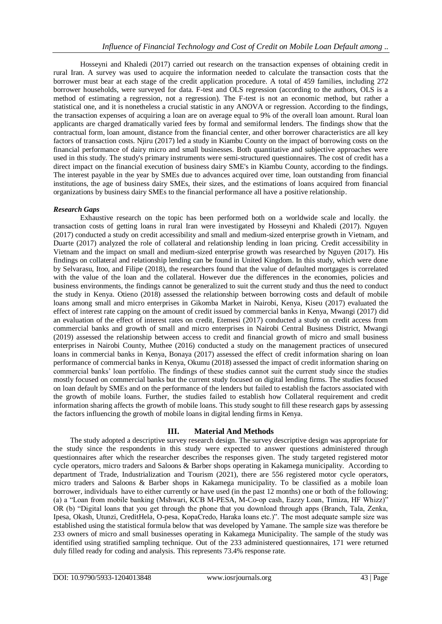Hosseyni and Khaledi (2017) carried out research on the transaction expenses of obtaining credit in rural Iran. A survey was used to acquire the information needed to calculate the transaction costs that the borrower must bear at each stage of the credit application procedure. A total of 459 families, including 272 borrower households, were surveyed for data. F-test and OLS regression (according to the authors, OLS is a method of estimating a regression, not a regression). The F-test is not an economic method, but rather a statistical one, and it is nonetheless a crucial statistic in any ANOVA or regression. According to the findings, the transaction expenses of acquiring a loan are on average equal to 9% of the overall loan amount. Rural loan applicants are charged dramatically varied fees by formal and semiformal lenders. The findings show that the contractual form, loan amount, distance from the financial center, and other borrower characteristics are all key factors of transaction costs. Njiru (2017) led a study in Kiambu County on the impact of borrowing costs on the financial performance of dairy micro and small businesses. Both quantitative and subjective approaches were used in this study. The study's primary instruments were semi-structured questionnaires. The cost of credit has a direct impact on the financial execution of business dairy SME's in Kiambu County, according to the findings. The interest payable in the year by SMEs due to advances acquired over time, loan outstanding from financial institutions, the age of business dairy SMEs, their sizes, and the estimations of loans acquired from financial organizations by business dairy SMEs to the financial performance all have a positive relationship.

### *Research Gaps*

Exhaustive research on the topic has been performed both on a worldwide scale and locally. the transaction costs of getting loans in rural Iran were investigated by Hosseyni and Khaledi (2017). Nguyen (2017) conducted a study on credit accessibility and small and medium-sized enterprise growth in Vietnam, and Duarte (2017) analyzed the role of collateral and relationship lending in loan pricing. Credit accessibility in Vietnam and the impact on small and medium-sized enterprise growth was researched by Nguyen (2017). His findings on collateral and relationship lending can be found in United Kingdom. In this study, which were done by Selvarasu, Itoo, and Filipe (2018), the researchers found that the value of defaulted mortgages is correlated with the value of the loan and the collateral. However due the differences in the economies, policies and business environments, the findings cannot be generalized to suit the current study and thus the need to conduct the study in Kenya. Otieno (2018) assessed the relationship between borrowing costs and default of mobile loans among small and micro enterprises in Gikomba Market in Nairobi, Kenya, Kiseu (2017) evaluated the effect of interest rate capping on the amount of credit issued by commercial banks in Kenya, Mwangi (2017) did an evaluation of the effect of interest rates on credit, Etemesi (2017) conducted a study on credit access from commercial banks and growth of small and micro enterprises in Nairobi Central Business District, Mwangi (2019) assessed the relationship between access to credit and financial growth of micro and small business enterprises in Nairobi County, Muthee (2016) conducted a study on the management practices of unsecured loans in commercial banks in Kenya, Bonaya (2017) assessed the effect of credit information sharing on loan performance of commercial banks in Kenya, Okumu (2018) assessed the impact of credit information sharing on commercial banks' loan portfolio. The findings of these studies cannot suit the current study since the studies mostly focused on commercial banks but the current study focused on digital lending firms. The studies focused on loan default by SMEs and on the performance of the lenders but failed to establish the factors associated with the growth of mobile loans. Further, the studies failed to establish how Collateral requirement and credit information sharing affects the growth of mobile loans. This study sought to fill these research gaps by assessing the factors influencing the growth of mobile loans in digital lending firms in Kenya.

### **III. Material And Methods**

The study adopted a descriptive survey research design. The survey descriptive design was appropriate for the study since the respondents in this study were expected to answer questions administered through questionnaires after which the researcher describes the responses given. The study targeted registered motor cycle operators, micro traders and Saloons & Barber shops operating in Kakamega municipality. According to department of Trade, Industrialization and Tourism (2021), there are 556 registered motor cycle operators, micro traders and Saloons & Barber shops in Kakamega municipality. To be classified as a mobile loan borrower, individuals have to either currently or have used (in the past 12 months) one or both of the following: (a) a "Loan from mobile banking (Mshwari, KCB M-PESA, M-Co-op cash, Eazzy Loan, Timiza, HF Whizz)" OR (b) "Digital loans that you get through the phone that you download through apps (Branch, Tala, Zenka, Ipesa, Okash, Utunzi, CreditHela, O-pesa, KopaCredo, Haraka loans etc.)". The most adequate sample size was established using the statistical formula below that was developed by Yamane. The sample size was therefore be 233 owners of micro and small businesses operating in Kakamega Municipality. The sample of the study was identified using stratified sampling technique. Out of the 233 administered questionnaires, 171 were returned duly filled ready for coding and analysis. This represents 73.4% response rate.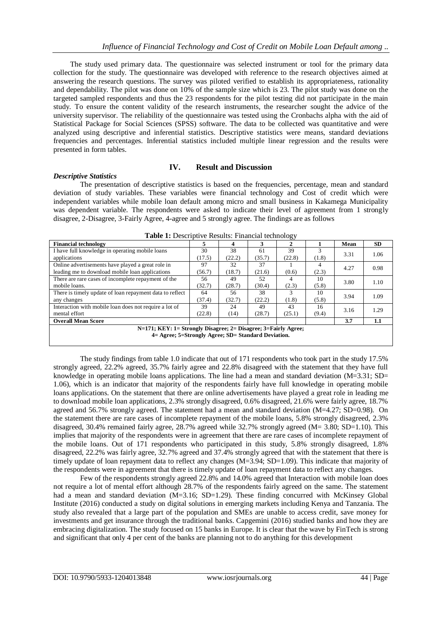The study used primary data. The questionnaire was selected instrument or tool for the primary data collection for the study. The questionnaire was developed with reference to the research objectives aimed at answering the research questions. The survey was piloted verified to establish its appropriateness, rationality and dependability. The pilot was done on 10% of the sample size which is 23. The pilot study was done on the targeted sampled respondents and thus the 23 respondents for the pilot testing did not participate in the main study. To ensure the content validity of the research instruments, the researcher sought the advice of the university supervisor. The reliability of the questionnaire was tested using the Cronbachs alpha with the aid of Statistical Package for Social Sciences (SPSS) software. The data to be collected was quantitative and were analyzed using descriptive and inferential statistics. Descriptive statistics were means, standard deviations frequencies and percentages. Inferential statistics included multiple linear regression and the results were presented in form tables.

# **IV. Result and Discussion**

The presentation of descriptive statistics is based on the frequencies, percentage, mean and standard deviation of study variables. These variables were financial technology and Cost of credit which were independent variables while mobile loan default among micro and small business in Kakamega Municipality was dependent variable. The respondents were asked to indicate their level of agreement from 1 strongly disagree, 2-Disagree, 3-Fairly Agree, 4-agree and 5 strongly agree. The findings are as follows

| <b>Financial technology</b>                                    |        |        | 3      |        |       | Mean | <b>SD</b> |  |  |  |
|----------------------------------------------------------------|--------|--------|--------|--------|-------|------|-----------|--|--|--|
| I have full knowledge in operating mobile loans                | 30     | 38     | 61     | 39     |       | 3.31 | 1.06      |  |  |  |
| applications                                                   | (17.5) | (22.2) |        | (22.8) | (1.8) |      |           |  |  |  |
| Online advertisements have played a great role in              | 97     | 32     | 37     |        |       | 4.27 | 0.98      |  |  |  |
| leading me to download mobile loan applications                | (56.7) | (18.7) | (21.6) | (0.6)  | (2.3) |      |           |  |  |  |
| There are rare cases of incomplete repayment of the            | 56     | 49     | 52     | 4      | 10    | 3.80 | 1.10      |  |  |  |
| mobile loans.                                                  | (32.7) | (28.7) | (30.4) | (2.3)  | (5.8) |      |           |  |  |  |
| There is timely update of loan repayment data to reflect       | 64     | 56     | 38     | 3      | 10    | 3.94 | 1.09      |  |  |  |
| any changes                                                    | (37.4) | (32.7) | (22.2) | (1.8)  | (5.8) |      |           |  |  |  |
| Interaction with mobile loan does not require a lot of         | 39     | 24     | 49     | 43     | 16    | 3.16 | 1.29      |  |  |  |
| mental effort                                                  | (22.8) | (14)   | (28.7) | (25.1) | (9.4) |      |           |  |  |  |
| <b>Overall Mean Score</b>                                      |        |        |        |        |       | 3.7  | 1.1       |  |  |  |
| N=171; KEY: 1= Strongly Disagree; 2= Disagree; 3=Fairly Agree; |        |        |        |        |       |      |           |  |  |  |
| 4 = Agree: 5 = Strongly Agree: SD = Standard Deviation.        |        |        |        |        |       |      |           |  |  |  |

**Table 1:** Descriptive Results: Financial technology

The study findings from table 1.0 indicate that out of 171 respondents who took part in the study 17.5% strongly agreed, 22.2% agreed, 35.7% fairly agree and 22.8% disagreed with the statement that they have full knowledge in operating mobile loans applications. The line had a mean and standard deviation (M=3.31; SD= 1.06), which is an indicator that majority of the respondents fairly have full knowledge in operating mobile loans applications. On the statement that there are online advertisements have played a great role in leading me to download mobile loan applications, 2.3% strongly disagreed, 0.6% disagreed, 21.6% were fairly agree, 18.7% agreed and 56.7% strongly agreed. The statement had a mean and standard deviation (M=4.27; SD=0.98). On the statement there are rare cases of incomplete repayment of the mobile loans, 5.8% strongly disagreed, 2.3% disagreed, 30.4% remained fairly agree, 28.7% agreed while 32.7% strongly agreed (M= 3.80; SD=1.10). This implies that majority of the respondents were in agreement that there are rare cases of incomplete repayment of the mobile loans. Out of 171 respondents who participated in this study, 5.8% strongly disagreed, 1.8% disagreed, 22.2% was fairly agree, 32.7% agreed and 37.4% strongly agreed that with the statement that there is timely update of loan repayment data to reflect any changes (M=3.94; SD=1.09). This indicate that majority of the respondents were in agreement that there is timely update of loan repayment data to reflect any changes.

Few of the respondents strongly agreed 22.8% and 14.0% agreed that Interaction with mobile loan does not require a lot of mental effort although 28.7% of the respondents fairly agreed on the same. The statement had a mean and standard deviation (M=3.16; SD=1.29). These finding concurred with McKinsey Global Institute (2016) conducted a study on digital solutions in emerging markets including Kenya and Tanzania. The study also revealed that a large part of the population and SMEs are unable to access credit, save money for investments and get insurance through the traditional banks. Capgemini (2016) studied banks and how they are embracing digitalization. The study focused on 15 banks in Europe. It is clear that the wave by FinTech is strong and significant that only 4 per cent of the banks are planning not to do anything for this development

*Descriptive Statistics*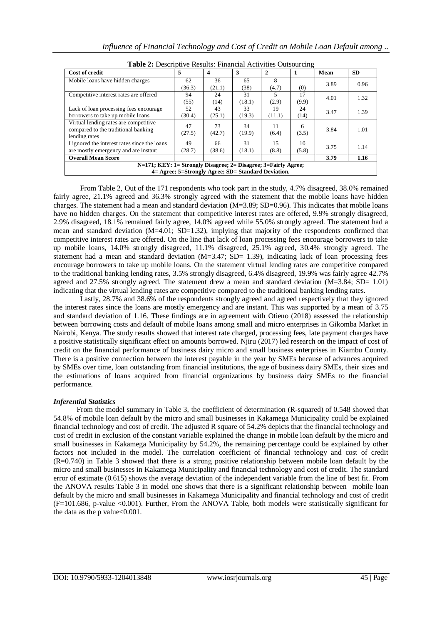| <b>Cost of credit</b>                                                                                                     | 5            | $\boldsymbol{4}$ | 3            | $\mathbf{2}$ |             | Mean | <b>SD</b> |  |  |
|---------------------------------------------------------------------------------------------------------------------------|--------------|------------------|--------------|--------------|-------------|------|-----------|--|--|
| Mobile loans have hidden charges                                                                                          | 62<br>(36.3) | 36<br>(21.1)     | 65<br>(38)   | 8<br>(4.7)   | (0)         | 3.89 | 0.96      |  |  |
| Competitive interest rates are offered                                                                                    | 94<br>(55)   | 24<br>(14)       | 31<br>(18.1) | (2.9)        | 17<br>(9.9) | 4.01 | 1.32      |  |  |
| Lack of loan processing fees encourage<br>borrowers to take up mobile loans                                               | 52<br>(30.4) | 43<br>(25.1)     | 33<br>(19.3) | 19<br>(11.1) | 24<br>(14)  | 3.47 | 1.39      |  |  |
| Virtual lending rates are competitive.<br>compared to the traditional banking<br>lending rates                            | 47<br>(27.5) | 73<br>(42.7)     | 34<br>(19.9) | 11<br>(6.4)  | 6<br>(3.5)  | 3.84 | 1.01      |  |  |
| I ignored the interest rates since the loans<br>are mostly emergency and are instant                                      | 49<br>(28.7) | 66<br>(38.6)     | 31<br>(18.1) | 15<br>(8.8)  | 10<br>(5.8) | 3.75 | 1.14      |  |  |
| <b>Overall Mean Score</b>                                                                                                 |              |                  |              |              |             | 3.79 | 1.16      |  |  |
| N=171; KEY: 1= Strongly Disagree; 2= Disagree; 3=Fairly Agree;<br>4 = Agree; 5 = Strongly Agree; SD = Standard Deviation. |              |                  |              |              |             |      |           |  |  |

**Table 2:** Descriptive Results: Financial Activities Outsourcing

From Table 2, Out of the 171 respondents who took part in the study, 4.7% disagreed, 38.0% remained fairly agree, 21.1% agreed and 36.3% strongly agreed with the statement that the mobile loans have hidden charges. The statement had a mean and standard deviation (M=3.89; SD=0.96). This indicates that mobile loans have no hidden charges. On the statement that competitive interest rates are offered, 9.9% strongly disagreed, 2.9% disagreed, 18.1% remained fairly agree, 14.0% agreed while 55.0% strongly agreed. The statement had a mean and standard deviation (M=4.01; SD=1.32), implying that majority of the respondents confirmed that competitive interest rates are offered. On the line that lack of loan processing fees encourage borrowers to take up mobile loans, 14.0% strongly disagreed, 11.1% disagreed, 25.1% agreed, 30.4% strongly agreed. The statement had a mean and standard deviation  $(M=3.47; SD= 1.39)$ , indicating lack of loan processing fees encourage borrowers to take up mobile loans. On the statement virtual lending rates are competitive compared to the traditional banking lending rates, 3.5% strongly disagreed, 6.4% disagreed, 19.9% was fairly agree 42.7% agreed and 27.5% strongly agreed. The statement drew a mean and standard deviation (M=3.84; SD= 1.01) indicating that the virtual lending rates are competitive compared to the traditional banking lending rates.

Lastly, 28.7% and 38.6% of the respondents strongly agreed and agreed respectively that they ignored the interest rates since the loans are mostly emergency and are instant. This was supported by a mean of 3.75 and standard deviation of 1.16. These findings are in agreement with Otieno (2018) assessed the relationship between borrowing costs and default of mobile loans among small and micro enterprises in Gikomba Market in Nairobi, Kenya. The study results showed that interest rate charged, processing fees, late payment charges have a positive statistically significant effect on amounts borrowed. Njiru (2017) led research on the impact of cost of credit on the financial performance of business dairy micro and small business enterprises in Kiambu County. There is a positive connection between the interest payable in the year by SMEs because of advances acquired by SMEs over time, loan outstanding from financial institutions, the age of business dairy SMEs, their sizes and the estimations of loans acquired from financial organizations by business dairy SMEs to the financial performance.

### *Inferential Statistics*

From the model summary in Table 3, the coefficient of determination (R-squared) of 0.548 showed that 54.8% of mobile loan default by the micro and small businesses in Kakamega Municipality could be explained financial technology and cost of credit. The adjusted R square of 54.2% depicts that the financial technology and cost of credit in exclusion of the constant variable explained the change in mobile loan default by the micro and small businesses in Kakamega Municipality by 54.2%, the remaining percentage could be explained by other factors not included in the model. The correlation coefficient of financial technology and cost of credit (R=0.740) in Table 3 showed that there is a strong positive relationship between mobile loan default by the micro and small businesses in Kakamega Municipality and financial technology and cost of credit. The standard error of estimate (0.615) shows the average deviation of the independent variable from the line of best fit. From the ANOVA results Table 3 in model one shows that there is a significant relationship between mobile loan default by the micro and small businesses in Kakamega Municipality and financial technology and cost of credit (F=101.686, p-value <0.001). Further, From the ANOVA Table, both models were statistically significant for the data as the p value $<0.001$ .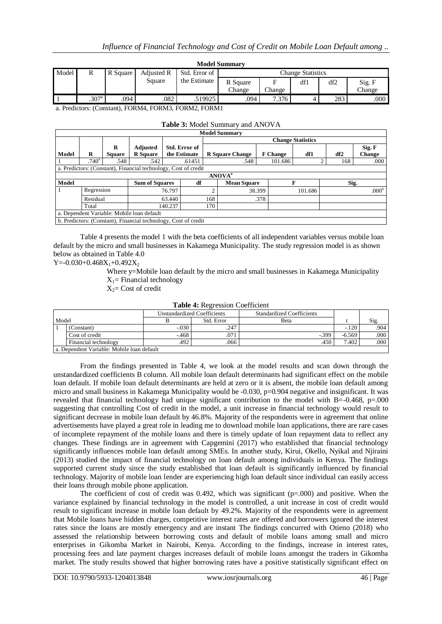| <b>Model Summary</b>                                  |                   |      |        |              |          |        |     |                          |               |  |  |  |
|-------------------------------------------------------|-------------------|------|--------|--------------|----------|--------|-----|--------------------------|---------------|--|--|--|
| Model<br>Adjusted R<br>Std. Error of<br>R<br>R Square |                   |      |        |              |          |        |     | <b>Change Statistics</b> |               |  |  |  |
|                                                       |                   |      | Square | the Estimate | R Square |        | df1 | df2                      | Sig. F        |  |  |  |
|                                                       |                   |      |        |              | Change   | Change |     |                          | <b>Change</b> |  |  |  |
|                                                       | .307 <sup>a</sup> | .094 | .082   | .519925      | .094     | 7.376  |     | 283                      | .000          |  |  |  |

a. Predictors: (Constant), FORM4, FORM3, FORM2, FORM1

### **Table 3:** Model Summary and ANOVA

|       |                                            |               |                                                                 |         |               |                          | <b>Model Summary</b>   |        |                 |         |          |                   |
|-------|--------------------------------------------|---------------|-----------------------------------------------------------------|---------|---------------|--------------------------|------------------------|--------|-----------------|---------|----------|-------------------|
|       |                                            |               |                                                                 |         |               | <b>Change Statistics</b> |                        |        |                 |         |          |                   |
|       |                                            | R             | <b>Adjusted</b>                                                 |         | Std. Error of |                          |                        |        |                 |         |          | Sig. F            |
| Model | R                                          | <b>Square</b> | <b>R</b> Square                                                 |         | the Estimate  |                          | <b>R</b> Square Change |        | <b>F</b> Change | df1     | df2      | Change            |
|       | .740 <sup>a</sup>                          | .548          | .542                                                            |         | .61451        |                          | .548                   |        | 101.686         |         | 168<br>↑ | .000              |
|       |                                            |               | a. Predictors: (Constant), Financial technology, Cost of credit |         |               |                          |                        |        |                 |         |          |                   |
|       | <b>ANOVA</b> <sup>a</sup>                  |               |                                                                 |         |               |                          |                        |        |                 |         |          |                   |
| Model |                                            |               | <b>Sum of Squares</b>                                           |         | df            |                          | <b>Mean Square</b>     |        |                 | F       |          | Sig.              |
|       | Regression                                 |               |                                                                 | 76.797  |               |                          |                        | 38.399 |                 | 101.686 |          | .000 <sup>b</sup> |
|       | Residual<br>63.440                         |               |                                                                 | 168     | .378          |                          |                        |        |                 |         |          |                   |
|       | Total                                      |               |                                                                 | 140.237 |               | 170                      |                        |        |                 |         |          |                   |
|       | a. Dependent Variable: Mobile loan default |               |                                                                 |         |               |                          |                        |        |                 |         |          |                   |
|       |                                            |               | b. Predictors: (Constant), Financial technology, Cost of credit |         |               |                          |                        |        |                 |         |          |                   |

Table 4 presents the model 1 with the beta coefficients of all independent variables versus mobile loan default by the micro and small businesses in Kakamega Municipality. The study regression model is as shown below as obtained in Table 4.0

Y=-0.030+0.468 $X_1$ +0.492 $X_2$ 

Where y=Mobile loan default by the micro and small businesses in Kakamega Municipality  $X_1$ = Financial technology

 $X_2$ = Cost of credit

### **Table 4:** Regression Coefficient

|       |                                            |         | <b>Unstandardized Coefficients</b> | <b>Standardized Coefficients</b> |          |      |  |  |  |
|-------|--------------------------------------------|---------|------------------------------------|----------------------------------|----------|------|--|--|--|
| Model |                                            |         | Std. Error                         | Beta                             |          | Sig. |  |  |  |
|       | (Constant)                                 | $-.030$ | .247                               |                                  | $-.120$  | .904 |  |  |  |
|       | Cost of credit                             | $-468$  | .071                               | $-399$                           | $-6.569$ | .000 |  |  |  |
|       | Financial technology                       | .492    | .066                               | .450                             | 7.402    | .000 |  |  |  |
|       | a. Dependent Variable: Mobile loan default |         |                                    |                                  |          |      |  |  |  |

From the findings presented in Table 4, we look at the model results and scan down through the unstandardized coefficients B column. All mobile loan default determinants had significant effect on the mobile loan default. If mobile loan default determinants are held at zero or it is absent, the mobile loan default among micro and small business in Kakamega Municipality would be -0.030, p=0.904 negative and insignificant. It was revealed that financial technology had unique significant contribution to the model with B=-0.468, p=.000 suggesting that controlling Cost of credit in the model, a unit increase in financial technology would result to significant decrease in mobile loan default by 46.8%. Majority of the respondents were in agreement that online advertisements have played a great role in leading me to download mobile loan applications, there are rare cases of incomplete repayment of the mobile loans and there is timely update of loan repayment data to reflect any changes. These findings are in agreement with Capgemini (2017) who established that financial technology significantly influences mobile loan default among SMEs. In another study, Kirui, Okello, Nyikal and Njiraini (2013) studied the impact of financial technology on loan default among individuals in Kenya. The findings supported current study since the study established that loan default is significantly influenced by financial technology. Majority of mobile loan lender are experiencing high loan default since individual can easily access their loans through mobile phone application.

The coefficient of cost of credit was  $0.492$ , which was significant ( $p=000$ ) and positive. When the variance explained by financial technology in the model is controlled, a unit increase in cost of credit would result to significant increase in mobile loan default by 49.2%. Majority of the respondents were in agreement that Mobile loans have hidden charges, competitive interest rates are offered and borrowers ignored the interest rates since the loans are mostly emergency and are instant The findings concurred with Otieno (2018) who assessed the relationship between borrowing costs and default of mobile loans among small and micro enterprises in Gikomba Market in Nairobi, Kenya. According to the findings, increase in interest rates, processing fees and late payment charges increases default of mobile loans amongst the traders in Gikomba market. The study results showed that higher borrowing rates have a positive statistically significant effect on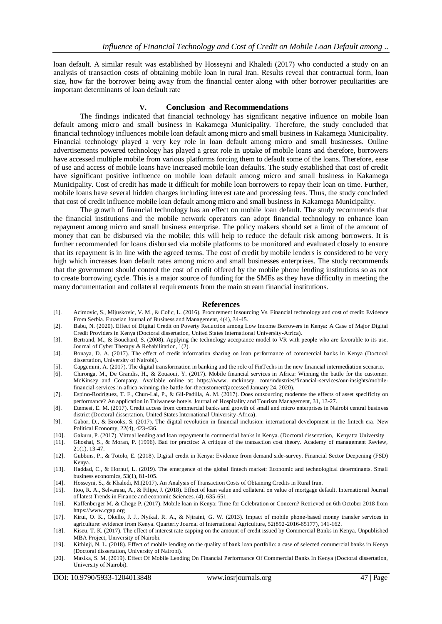loan default. A similar result was established by Hosseyni and Khaledi (2017) who conducted a study on an analysis of transaction costs of obtaining mobile loan in rural Iran. Results reveal that contractual form, loan size, how far the borrower being away from the financial center along with other borrower peculiarities are important determinants of loan default rate

### **V. Conclusion and Recommendations**

The findings indicated that financial technology has significant negative influence on mobile loan default among micro and small business in Kakamega Municipality. Therefore, the study concluded that financial technology influences mobile loan default among micro and small business in Kakamega Municipality. Financial technology played a very key role in loan default among micro and small businesses. Online advertisements powered technology has played a great role in uptake of mobile loans and therefore, borrowers have accessed multiple mobile from various platforms forcing them to default some of the loans. Therefore, ease of use and access of mobile loans have increased mobile loan defaults. The study established that cost of credit have significant positive influence on mobile loan default among micro and small business in Kakamega Municipality. Cost of credit has made it difficult for mobile loan borrowers to repay their loan on time. Further, mobile loans have several hidden charges including interest rate and processing fees. Thus, the study concluded that cost of credit influence mobile loan default among micro and small business in Kakamega Municipality.

The growth of financial technology has an effect on mobile loan default. The study recommends that the financial institutions and the mobile network operators can adopt financial technology to enhance loan repayment among micro and small business enterprise. The policy makers should set a limit of the amount of money that can be disbursed via the mobile; this will help to reduce the default risk among borrowers. It is further recommended for loans disbursed via mobile platforms to be monitored and evaluated closely to ensure that its repayment is in line with the agreed terms. The cost of credit by mobile lenders is considered to be very high which increases loan default rates among micro and small businesses enterprises. The study recommends that the government should control the cost of credit offered by the mobile phone lending institutions so as not to create borrowing cycle. This is a major source of funding for the SMEs as they have difficulty in meeting the many documentation and collateral requirements from the main stream financial institutions.

### **References**

- [1]. Acimovic, S., Mijuskovic, V. M., & Colic, L. (2016). Procurement Insourcing Vs. Financial technology and cost of credit: Evidence From Serbia. Eurasian Journal of Business and Management, 4(4), 34-45.
- [2]. Babu, N. (2020). Effect of Digital Credit on Poverty Reduction among Low Income Borrowers in Kenya: A Case of Major Digital Credit Providers in Kenya (Doctoral dissertation, United States International University-Africa).
- [3]. Bertrand, M., & Bouchard, S. (2008). Applying the technology acceptance model to VR with people who are favorable to its use. Journal of Cyber Therapy & Rehabilitation, 1(2).
- [4]. Bonaya, D. A. (2017). The effect of credit information sharing on loan performance of commercial banks in Kenya (Doctoral dissertation, University of Nairobi).
- [5]. Capgemini, A. (2017). The digital transformation in banking and the role of FinTechs in the new financial intermediation scenario.
- [6]. Chironga, M., De Grandis, H., & Zouaoui, Y. (2017). Mobile financial services in Africa: Winning the battle for the customer. McKinsey and Company. Available online at: https://www. mckinsey. com/industries/financial-services/our-insights/mobilefinancial-services-in-africa-winning-the-battle-for-thecustomer#(accessed January 24, 2020).
- [7]. Espino-Rodríguez, T. F., Chun-Lai, P., & Gil-Padilla, A. M. (2017). Does outsourcing moderate the effects of asset specificity on performance? An application in Taiwanese hotels. Journal of Hospitality and Tourism Management, 31, 13-27.
- [8]. Etemesi, E. M. (2017). Credit access from commercial banks and growth of small and micro enterprises in Nairobi central business district (Doctoral dissertation, United States International University-Africa).
- [9]. Gabor, D., & Brooks, S. (2017). The digital revolution in financial inclusion: international development in the fintech era. New Political Economy, 22(4), 423-436.
- [10]. Gakuru, P. (2017). Virtual lending and loan repayment in commercial banks in Kenya. (Doctoral dissertation, Kenyatta University
- [11]. Ghoshal, S., & Moran, P. (1996). Bad for practice: A critique of the transaction cost theory. Academy of management Review, 21(1), 13-47.
- [12]. Gubbins, P., & Totolo, E. (2018). Digital credit in Kenya: Evidence from demand side-survey. Financial Sector Deepening (FSD) Kenya.
- [13]. Haddad, C., & Hornuf, L. (2019). The emergence of the global fintech market: Economic and technological determinants. Small business economics, 53(1), 81-105.
- [14]. Hosseyni, S., & Khaledi, M.(2017). An Analysis of Transaction Costs of Obtaining Credits in Rural Iran.
- [15]. Itoo, R. A., Selvarasu, A., & Filipe, J. (2018). Effect of loan value and collateral on value of mortgage default. International Journal of latest Trends in Finance and economic Sciences, (4), 635-651.
- [16]. Kaffenberger M. & Chege P. (2017). Mobile loan in Kenya: Time for Celebration or Concern? Retrieved on 6th October 2018 from https://www.cgap.org
- [17]. Kirui, O. K., Okello, J. J., Nyikal, R. A., & Njiraini, G. W. (2013). Impact of mobile phone-based money transfer services in agriculture: evidence from Kenya. Quarterly Journal of International Agriculture, 52(892-2016-65177), 141-162.
- [18]. Kiseu, T. K. (2017). The effect of interest rate capping on the amount of credit issued by Commercial Banks in Kenya. Unpublished MBA Project, University of Nairobi.
- [19]. Kithinji, N. L. (2018). Effect of mobile lending on the quality of bank loan portfolio: a case of selected commercial banks in Kenya (Doctoral dissertation, University of Nairobi).
- [20]. Masika, S. M. (2019). Effect Of Mobile Lending On Financial Performance Of Commercial Banks In Kenya (Doctoral dissertation, University of Nairobi).